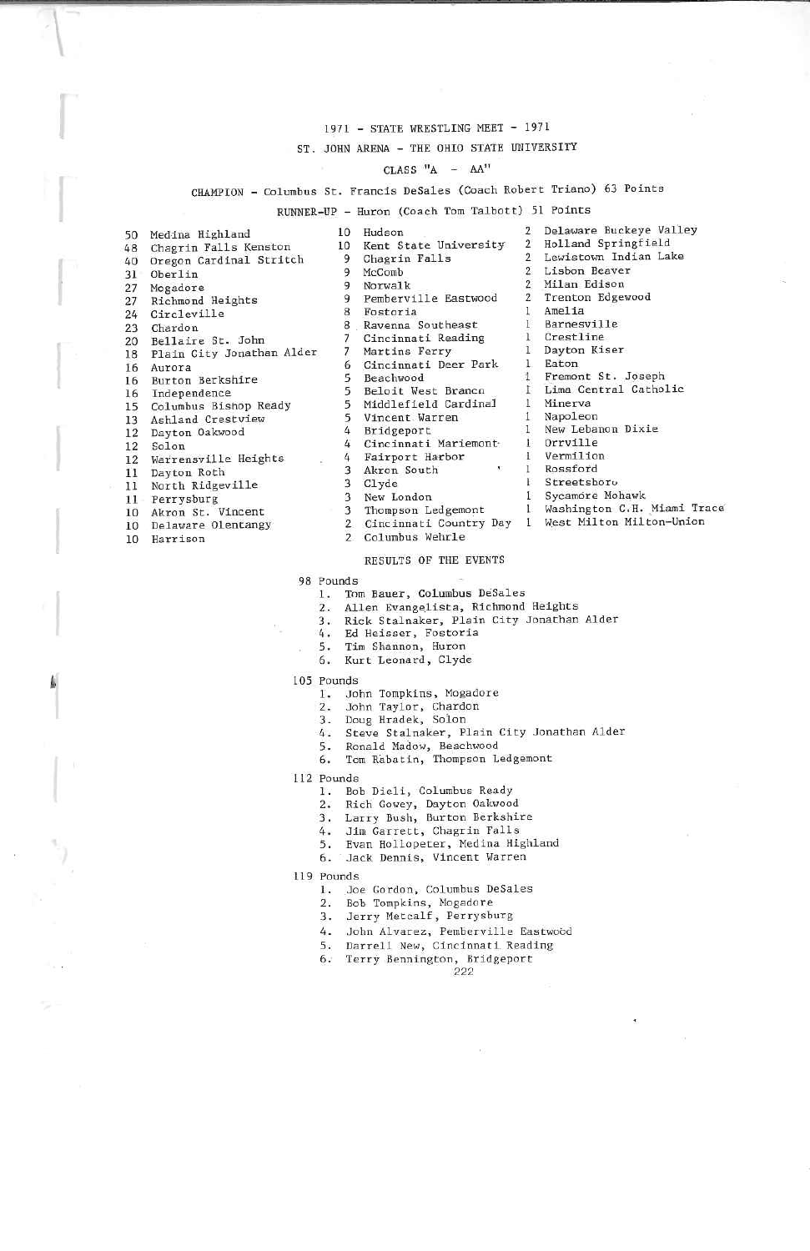### 1971 - STATE WRESTLING MEET - 1971

#### T. JOHN ARENA - THE OHIO STATE UNIVERSITY

## $CLASS$  "A  $- A$ A<sup>"</sup>

## CHAMPION - Columbus St. Francis DeSales (Coach Robert Triano) 63 Points

## RUNNER-UP - Huron (Coach Tom Talbott) 51 Points

| 50  | Medina Highland           | 10             | Hudson                 |               | Delaware Buckeye Valley   |
|-----|---------------------------|----------------|------------------------|---------------|---------------------------|
| 48  | Chagrin Falls Kenston     | 10             | Kent State University  | $\mathcal{L}$ | Holland Springfield       |
| 40  | Oregon Cardinal Stritch   | 9              | Chagrin Falls          |               | Lewistown Indian Lake     |
| 31  | Oberlin                   | 9              | McComb                 |               | Lisbon Beaver             |
| 27  | Mogadore                  |                | Norwalk                |               | Milan Edison              |
| 27  | Richmond Heights          | 9              | Pemberville Eastwood   |               | Trenton Edgewood          |
| 24  | Circleville               | 8              | Fostoria               |               | Amelia                    |
| 23  | Chardon                   | 8              | Ravenna Southeast      |               | Barnesville               |
| 20  | Bellaire St. John         |                | Cincinnati Reading     |               | Crestline                 |
| 18  | Plain City Jonathan Alder |                | Martins Ferry          |               | Dayton Kiser              |
| 16  | Aurora                    | 6              | Cincinnati Deer Park   |               | Eaton                     |
| 16  | Burton Berkshire          |                | Beachwood              |               | Fremont St. Joseph        |
| 16  | Independence              |                | Beloit West Brancn     |               | Lima Central Catholic     |
| 15  | Columbus Bishop Ready     | 5              | Middlefield Cardinal   |               | Minerva                   |
| 13  | Ashland Crestview         |                | Vincent Warren         |               | Napoleon                  |
| 12  | Dayton Oakwood            |                | Bridgeport             |               | New Lebanon Dixie         |
| 12  | Solon                     |                | Cincinnati Mariemont   |               | Orrville                  |
| 12  | Warrensville Heights      | 4              | Fairport Harbor        |               | Vermilion                 |
| 11  | Dayton Roth               |                | Akron South            |               | Rossford                  |
| 11  | North Ridgeville          |                | Clyde                  |               | Streetsboro               |
|     |                           |                | New London             |               | Sycamore Mohawk           |
| 11- | Perrysburg                | 3              | Thompson Ledgemont     |               | Washington C.H. Miami Tra |
|     | 10 Akron St. Vincent      | $\mathbf{2}$   | Cincinnati Country Day |               | West Milton Milton-Union  |
| 10  | Delaware Olentangy        | $\overline{2}$ | Columbus Wehrle        |               |                           |
|     | 10 Harrison               |                |                        |               |                           |

| Kent State University | $\mathbf{2}$   | Holland Springfield   |
|-----------------------|----------------|-----------------------|
| Chagrin Falls         | $\overline{2}$ | Lewistown Indian Lake |
| McComb                | $\mathbf{2}$   | Lisbon Beaver         |
| Norwalk               | $\overline{2}$ | Milan Edison          |
| Pemberville Eastwood  | $\mathbf{2}$   | Trenton Edgewood      |
| Fostoria              |                | Amelia                |
| Ravenna Southeast     |                | Barnesville           |
| Cincinnati Reading    | 1.             | Crestline             |
| Martins Ferry         | 1              | Dayton Kiser          |
| Cincinnati Deer Park  |                | Eaton                 |
| Beachwood             | $\mathbf{1}$   | Fremont St. Joseph    |
| Beloit West Branco    | 1              | Lima Central Catholic |
| Middlefield Cardinal  | 1.             | Minerva               |
| Vincent Warren        |                | Napoleon              |
| Bridgeport            |                | New Lebanon Dixie     |
| Cincinnati Mariemont  |                | Orrville              |
| Fairport Harbor       |                | Vermilion             |
| Akron South           |                | Rossford              |
| Clyde                 |                | Streetsboro           |
| New London            |                | Sycamore Mohawk       |
| Thompson Ledgemont    |                | Washington C.H. Miami |

- 
- Columbus Wehrle

#### RESULTS OF THE EVENTS

- 98 Pounds
	- . Tom Bauer, Columbus DeSales
	- 2, Alien Evangelists, Richmond Heights
	- 3. Rick Scalnaker, Plain City Jonathan Alder
	- 4. Ed Heisser, Fostoria
	- 5. Tim Shannon. Huron
	- 6. Kurt Leonard, Clyde
- 105 Founds
	- . John Tompkins, Mogadore
	- 2. John Taylor, Chardon
	-
	- 3. Doug Hradek, Solon4. Sceve Stalnaker, Plain City Jonathan Alder
	-
	- s. Konald Madow, beachwood<br>6. Tom Rabatin, Thompson Ledgemont
- 112 Founds
	-
	- .. Bob Dieli, Columbus Ready
	- 2. Rich Gouey, Dayton Oakuood
	- 3. Larry Bush, Burton Berkshire 4. Jim Garrett, Chagrin Falls
	-
	- 5. Evan Hollopeter, Medina Highland 6. Jack Dennis. Vincent Warren
- 119 Pourds
	- 1. Joe Gordon. Columbus DeSales
	-
	- z. Bob Iompkins, nogadore<br>3. Jerry Metcalf, Perrysburg
	- 4. John Alvarez. Pemberville Eastwood
	- 5. Darrell New, Cincinnati Reading
	- 6. Terry Bennington, Bridgeport<br>222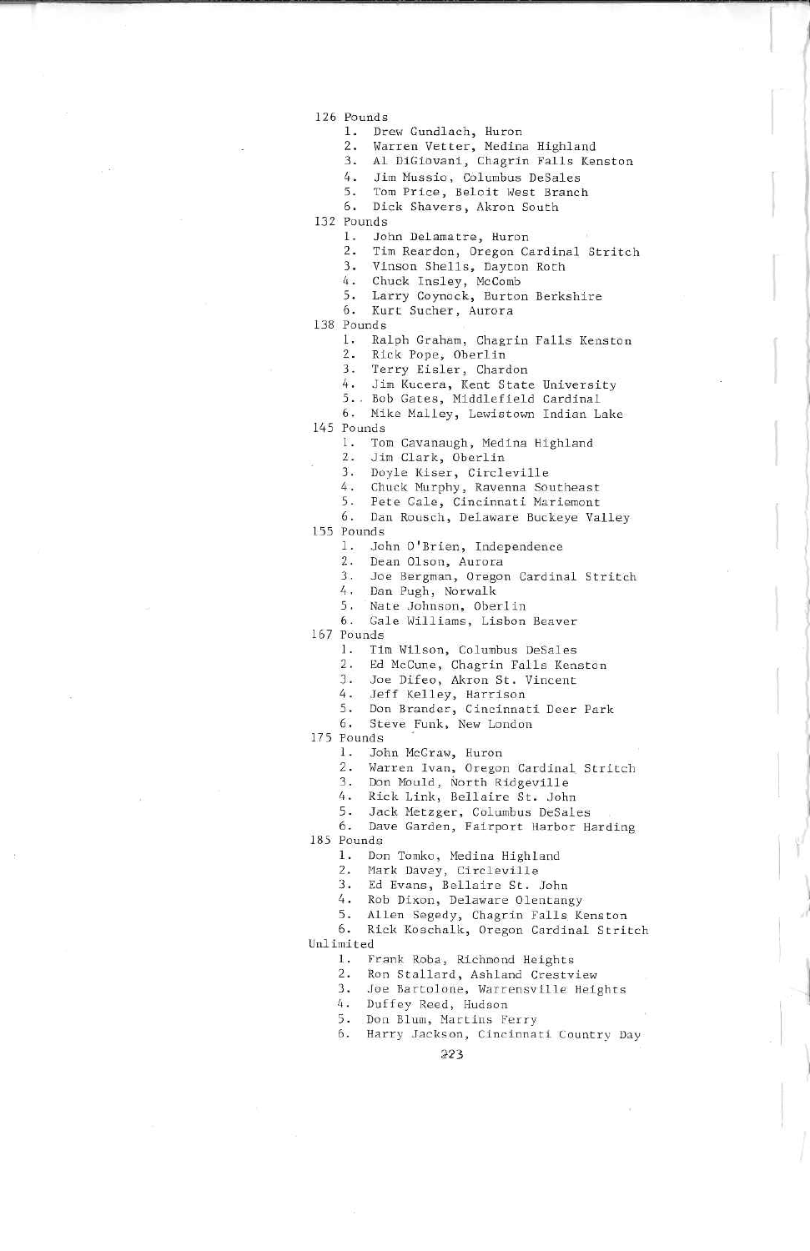- 126 Pounds
	- 1. Drew Gundlach, Huron
	- 2. Warren Vetter, Medina Highland
	- 3. Al DiGiovani, Chagrin Falls Kenston
	- 4. Jim Mussio, Columbus DeSales
	- 5. Tom Price, Beloit West Branch
	- 6. Dick Shavers. Akron South

132 Pounds

- 1. John Delamatre. Huron
- 2. Tim Reardan, Oregon Cardinal Stritch
- 3. Vinson Shells, Dayton Roth
- 4. Chuck Tnsley, McComb
- 5. Larry Coynock, Rurton Berkshire
- 6. Kurt Sucher, Aurora

138 Founds

- 1. Ralph Graham, Chagrin Fails Kenston
- 2. Rick Pope, Oberlin
- 3. Terry Eisler, Chardon
- 4. Jim Kucera, Kent State University
- 5.. Bob Gates, Middlcfield Cardinal
- 6. Mike Malley, Lewistown Indian Lake

145 Founds

- l. Tom Cavanaugh, Medina Highland
- 2. Jim Clark, Oberlin
- 3. Doyle Kiser, Circleville
- 4. Chuck Murphy, Ravenna Southeast
- 
- 5. Pete Gale, Cincinnati Mariemont<br>6. Dan Rousch, Delaware Buckeye Valley<br>-

155 Pounds

- 1. John O'Brien, Independence
- 2. Dean Olson. Aurora
- 3. Joe Bergman, Oregon Cardinal Stritch
- 4. Dan Pugh, Norwalk
- 5. Nate Johnson, Oberlir
- 6. Gale Williams, Lisbon Beaver

167 Pounds

- 1. Tin Wilson, Columbus DeSales
- 2. Ed McCune, Chagrin Falls Kenston
- 3. Joe Difeo, Akron St. Vincent

4. Jeff Kellev, Harrison

- 5. Don Brander, Cincinnati Deer Park
- G. Steve. Funk, New London

175 Founds

- ]. John McCraw. Huron
- 2. Warren Ivan, Oregon Cardinal Stritch
- 3. Don Mould, North Ridgeville
- Rick Link, Bellaire St. John
- 5. Jack Metzger, Columbus DeSales

6. Dave Garden, Fairport Harbor Harding

185 Pounds

- 1. Don Tomko, Medina Highland
- 2. Hark Davey, Circleville

- 3. Ed Evans, Beilaire Sc. John 4. Rob Dixon, Delaware Olcntangy
- 5. Allen Segedy, Chagrin Falls Kenston

6. Rick Koschalk, Oregon Cardinal Stritch Unlimited

- 1. Frank Roba, Richmond Heights
- 2. Ron Stallard, Ashland Crestview
- 3. Joe Bartolone, Warrensville Heights

4. Duffey Reed, Hudson

- 5. 6.
- Don Blum, Martins Ferry<br>Harry Jackson, Cincinnati Country Da

?23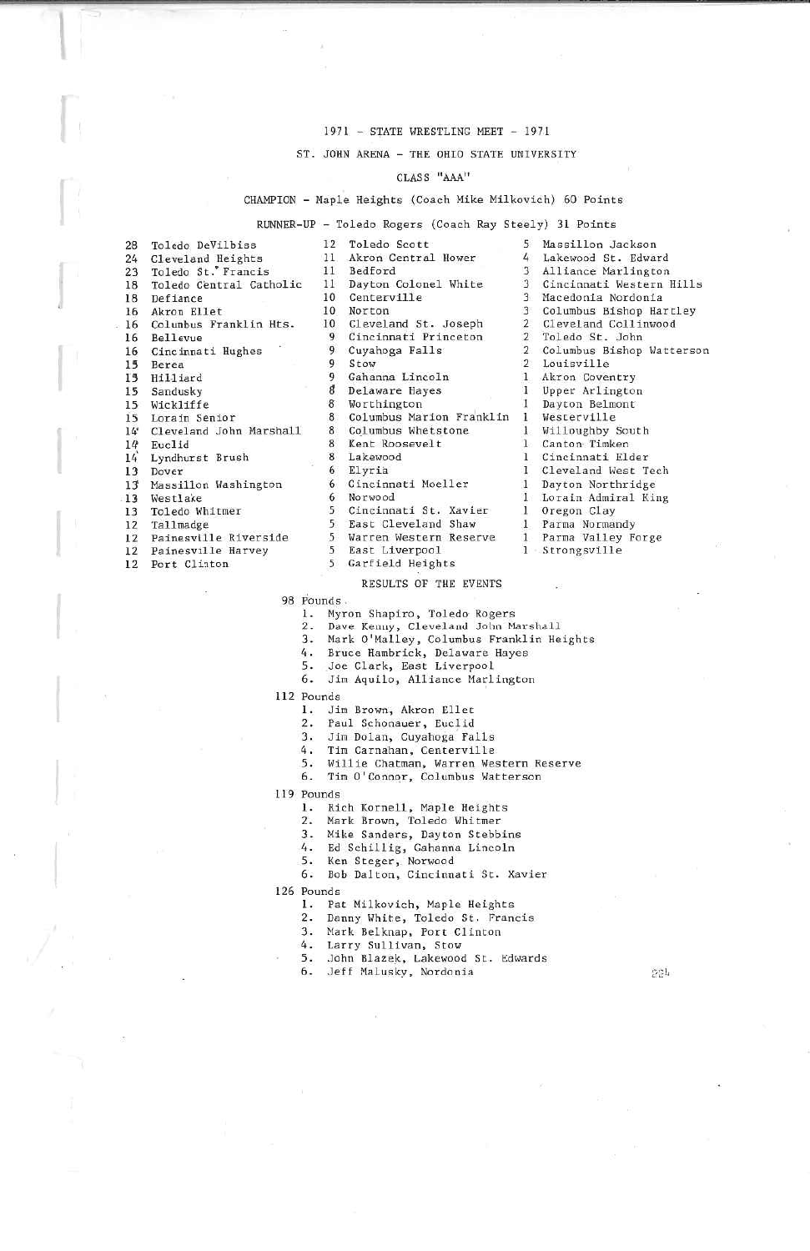## 1971 - STATE WRESTLING MEET - 1971

#### ST. JOHM ARENA - THE OHIO STATE UNIVERSITY

#### CLASS "AAA"

#### CHAMPION - Maple Heights (Coach Mike Milkovich) 60 Points

RUNNER-UP - Toledo Rogers (Coach Ray Steely) 31 Points

| 28      | Toledo DeVilbiss           | $12^{\circ}$ | Toledo Scott             | 5              | Massillon Jackson          |
|---------|----------------------------|--------------|--------------------------|----------------|----------------------------|
|         | 24 Cleveland Heights       |              | 11 Akron Central Hower   | 4              | Lakewood St. Edward        |
| 23      | Toledo St. Francis         | 11           | Bedford                  | 3              | Alliance Marlington        |
| 18      | Toledo Central Catholic    | 11           | Dayton Colonel White     | 3              | Cincinnati Western Hills   |
| 18      | Defiance                   | 10           | Centerville              | 3              | Macedonia Nordonia         |
| 16      | Akron Ellet                | 10           | Norton                   | 3              | Columbus Bishop Hartley    |
| 16      | Columbus Franklin Hts.     |              | 10 Cleveland St. Joseph  | $\overline{2}$ | Cleveland Collinwood       |
| 16      | Bellevue                   | 9            | Cincinnati Princeton     | $\overline{2}$ | Toledo St. John            |
|         | 16 Cincinnati Hughes       | 9            | Cuyahoga Falls           |                | 2 Columbus Bishop Watterso |
| 15      | Berea                      | 9            | Stow                     | $\mathcal{P}$  | Louisville                 |
| 15      | Hilliard                   | 9            | Gahanna Lincoln          | $\mathbf{1}$   | Akron Coventry             |
| 15      | Sandusky                   | 8            | Delaware Hayes           |                | Upper Arlington            |
| $15-15$ | Wickliffe                  | 8            | Worthington              |                | Dayton Belmont             |
| 15      | Lorain Senior              | 8            | Columbus Marion Franklin |                | Westerville                |
|         | 14 Cleveland John Marshall | 8            | Columbus Whetstone       |                | Willoughby South           |
| 14      | Euclid                     | 8            | Kent Roosevelt           |                | Canton Timken              |
| 14      | Lyndhurst Brush            | 8            | Lakewood                 |                | Cincinnati Elder           |
| 13      | Dover                      | h            | Elyria                   |                | Cleveland West Tech        |
| 13      | Massillon Washington       | 6            | Cincinnati Moeller       |                | Dayton Northridge          |
| 13      | Westlake                   | 6            | Norwood                  |                | Lorain Admiral King        |
| 13      | Toledo Whitmer             |              | 5 Cincinnati St. Xavier  |                | Oregon Clay                |
| 12      | Tallmadge                  | 5.           | East Cleveland Shaw      |                | Parma Normandy             |
| 12      | Painesville Riverside      |              | 5 Warren Western Reserve |                | Parma Valley Forge         |
| 12      | Painesville Harvey         | 5            | East Liverpool           |                | Strongsville               |
| 12      | Port Cliaton               | 5            | Garfield Heights         |                |                            |

| 12 | Toledo Scott             | 5                       | Massillon Jackson  |  |  |  |
|----|--------------------------|-------------------------|--------------------|--|--|--|
| 11 | Akron Central Hower      | 4                       | Lakewood St. Edwar |  |  |  |
| 11 | Bedford                  | $\mathbf{3}$            | Alliance Marlingto |  |  |  |
| 11 | Dayton Colonel White     | $\overline{3}$          | Cincinnati Wester  |  |  |  |
| 10 | Centerville              | $\overline{\mathbf{3}}$ | Macedonia Nordonia |  |  |  |
| 10 | Norton                   | 3                       | Columbus Bishop Ha |  |  |  |
| 10 | Cleveland St. Joseph     | $\mathbf{2}$            | Cleveland Collinw  |  |  |  |
| 9  | Cincinnati Princeton     | $\overline{2}$          | Toledo St. John    |  |  |  |
| 9  | Cuyahoga Falls           | $\overline{2}$          | Columbus Bishop Wa |  |  |  |
| 9  | Stow                     | $\overline{2}$          | Louisville         |  |  |  |
| 9  | Gahanna Lincoln          | $\mathbf{1}$            | Akron Coventry     |  |  |  |
| 8  | Delaware Hayes           | 1                       | Upper Arlington    |  |  |  |
| 8  | Worthington              | 1                       | Dayton Belmont     |  |  |  |
| 8  | Columbus Marion Franklin | L                       | Westerville        |  |  |  |
| 8  | Columbus Whetstone       | $\mathbf{1}$            | Willoughby South   |  |  |  |
| 8  | Kent Roosevelt           | $1-$                    | Canton Timken      |  |  |  |
| 8  | Lakewood                 | 1.                      | Cincinnati Elder   |  |  |  |
| 6  | Elyria                   | $\mathbf{I}$            | Cleveland West Tee |  |  |  |
| 6  | Cincinnati Moeller       | $1\,$                   | Dayton Northridge  |  |  |  |
| 6  | Norwood                  | 1                       | Lorain Admiral Ki  |  |  |  |
| 5  | Cincinnati St. Xavier    |                         | Oregon Clay        |  |  |  |
| 5  | East Cleveland Shaw      | 1.                      | Parma Normandy     |  |  |  |
| 5  | Warren Western Reserve   | $1 -$                   | Parma Valley Forge |  |  |  |
| 5  | East Liverpool           | 1                       | Strongsville       |  |  |  |
|    |                          |                         |                    |  |  |  |

# 3 Macedonia Nordonia Cleveland Collinwood 2 Toledo St. John 2 Louisville  $Westerville$ Canton Timken Oregon Clay Strongsville

 $\frac{1}{2}$ 

RESULTS OF THE EVENTS

98 Founds

1. Myron Shapiro, Toledo Rogers

2. Dave Kenny, Cleveland John Marshall<br>3. Mark O'Malley, Columbus Franklin Heights

4. Bruce Hambrick, Delaware Hayes<br>5. Joe Clark, East Liverpool

6. Jim Aquilo, Alliance Marlington

112 Pounds

- 1. Jim Brown, Akron Ellet
- 2. Paul Schonauer. Euclid
- 
- 3, Jim Dolan» Cuyahoga Falls 4. Tim Carnahan, Centerville
- 
- 5. Willie Chatman, Warren Western Reserve
- 6. Tim O'Connor, Columbus Watterson

119 Pounds

1, Rich Xornell, Maple Heights

- 2. Mark Brown, Toledo Whitmer
- -
	-
	-

3. Mike Sanders, Dayton Scebbins ^. Ed SchUlig, Gahanna Lincoln 5. Ken Sceger, Noruood 6. Bob Dalton, Cinctnnatl St. Xauier

126 Founds

- 1. Pat Milkovich, Maple Heights
- 2. Danny White, Toledo St. Francis
- 3. Mark Belknap, Fort Clinton

4. Larry Sullivan, Stow<br>5. John Blazek, Lakewood St. Edwards 6. Jeff Malusky, Nordoaia ;y^